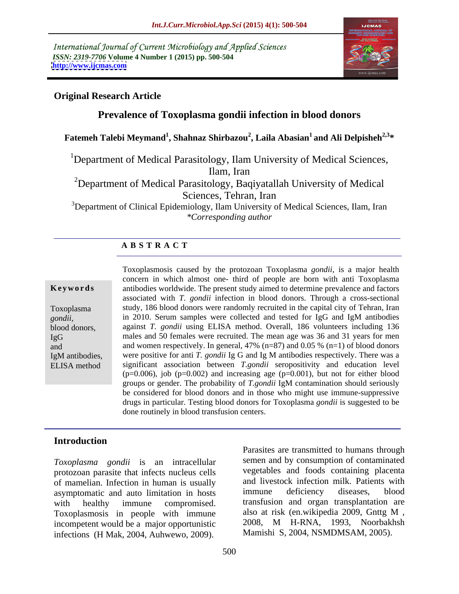International Journal of Current Microbiology and Applied Sciences *ISSN: 2319-7706* **Volume 4 Number 1 (2015) pp. 500-504 <http://www.ijcmas.com>**



## **Original Research Article**

# **Prevalence of Toxoplasma gondii infection in blood donors**

**Fatemeh Talebi Meymand<sup>1</sup> , Shahnaz Shirbazou<sup>2</sup> , Laila Abasian1 and Ali Delpisheh2,3\***

<sup>1</sup>Department of Medical Parasitology, Ilam University of Medical Sciences, Ilam, Iran

<sup>2</sup>Department of Medical Parasitology, Baqiyatallah University of Medical Sciences, Tehran, Iran

<sup>3</sup>Department of Clinical Epidemiology, Ilam University of Medical Sciences, Ilam, Iran *\*Corresponding author* 

## **A B S T R A C T**

ELISA method

Toxoplasmosis caused by the protozoan Toxoplasma *gondii*, is a major health concern in which almost one- third of people are born with anti Toxoplasma antibodies worldwide. The present study aimed to determine prevalence and factors **Ke ywo rds** associated with *T. gondii* infection in blood donors. Through a cross-sectional study, 186 blood donors were randomly recruited in the capital city of Tehran, Iran Toxoplasma in 2010. Serum samples were collected and tested for IgG and IgM antibodies *gondii,* against *T. gondii* using ELISA method. Overall, 186 volunteers including 136 blood donors, males and 50 females were recruited. The mean age was 36 and 31 years for men IgG and and women respectively. In general, 47% (n=87) and 0.05 % (n=1) of blood donors IgM antibodies, were positive for anti *T. gondii* Ig G and Ig M antibodies respectively. There was a significant association between *T.gondii* seropositivity and education level  $(p=0.006)$ , job (p=0.002) and increasing age (p=0.001), but not for either blood groups or gender. The probability of *T.gondii* IgM contamination should seriously be considered for blood donors and in those who might use immune-suppressive drugs in particular. Testing blood donors for Toxoplasma *gondii* is suggested to be done routinely in blood transfusion centers.

### **Introduction**

*Toxoplasma gondii* is an intracellular protozoan parasite that infects nucleus cells of mamelian. Infection in human is usually and livestock infection milk. Patients with asymptomatic and auto limitation in hosts immune deficiency diseases, blood asymptomatic and auto limitation in hosts Toxoplasmosis in people with immune also at risk (en.wikipedia 2009, Gnttg M, incompetent would be a major opportunistic 2008, M H-RNA, 1993, Noorbakhsh incompetent would be a major opportunistic

with healthy immune compromised. transfusion and organ transplantation are Foxoplasma gondii is an intracellular<br>protozoan parasite that infects nucleus cells<br>of mamelian. Infection in human is usually<br>asymptomatic and auto limitation in hosts<br>immune deficiency diseases, blood<br>with healthy immune semen and by consumption of contaminated vegetables and foods containing placenta and livestock infection milk. Patients with immune deficiency diseases, blood also at risk (en.wikipedia 2009, Gnttg M , 2008, M H-RNA, 1993, Noorbakhsh Mamishi S, 2004, NSMDMSAM, 2005).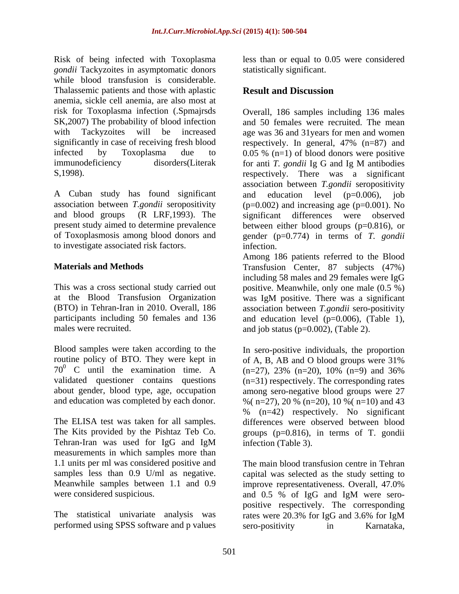Risk of being infected with Toxoplasma less than or equal to 0.05 were considered *gondii* Tackyzoites in asymptomatic donors while blood transfusion is considerable. Thalassemic patients and those with aplastic **Result and Discussion** anemia, sickle cell anemia, are also most at risk for Toxoplasma infection (.Spmajrsds immunodeficiency disorders(Literak for anti T. gondii Ig G and Ig M antibodies

A Cuban study has found significant and education level (p=0.006), job association between *T.gondii* seropositivity to investigate associated risk factors.

at the Blood Transfusion Organization

Blood samples were taken according to the routine policy of BTO. They were kept in of A, B, AB and O blood groups were 31%

The Kits provided by the Pishtaz Teb Co. measurements in which samples more than 1.1 units per ml was considered positive and Meanwhile samples between 1.1 and 0.9 improve representativeness. Overall, 47.0% were considered suspicious. and 0.5 % of IgG and IgM were sero-

The statistical univariate analysis was rates were 20.3% for IgG and 3.6% for IgM performed using SPSS software and p values sero-positivity in Karnataka,

statistically significant.

# **Result and Discussion**

SK,2007) The probability of blood infection and 50 females were recruited. The mean with Tackyzoites will be increased age was 36 and 31years for men and women significantly in case of receiving fresh blood respectively. In general, 47% (n=87) and infected by Toxoplasma due to 0.05 % (n=1) of blood donors were positive S,1998). respectively. There was a significant and blood groups (R LRF,1993). The significant differences were observed present study aimed to determine prevalence between either blood groups (p=0.816), or of Toxoplasmosis among blood donors and gender (p=0.774) in terms of *T. gondii* Overall, 186 samples including 136 males for anti *T. gondii* Ig G and Ig M antibodies association between *T.gondii* seropositivity and education level (p=0.006), job  $(p=0.002)$  and increasing age  $(p=0.001)$ . No infection.

**Materials and Methods** Transfusion Center, 87 subjects (47%) This was a cross sectional study carried out positive. Meanwhile, only one male (0.5 %) (BTO) in Tehran-Iran in 2010. Overall, 186 association between *T.gondii* sero-positivity participants including 50 females and 136 and education level (p=0.006), (Table 1), males were recruited. and job status (p=0.002), (Table 2). Among 186 patients referred to the Blood including 58 males and 29 females were IgG was IgM positive. There was a significant

70<sup>0</sup> C until the examination time. A  $(n=27)$ , 23%  $(n=20)$ , 10%  $(n=9)$  and 36% validated questioner contains questions (n=31) respectively. The corresponding rates about gender, blood type, age, occupation among sero-negative blood groups were 27 and education was completed by each donor.  $\%$  (n=27), 20  $\%$  (n=20), 10  $\%$  (n=10) and 43 The ELISA test was taken for all samples. differences were observed between blood Tehran-Iran was used for IgG and IgM In sero-positive individuals, the proportion of A, B, AB and O blood groups were 31% % (n=42) respectively. No significant groups (p=0.816), in terms of T. gondii infection (Table 3).

samples less than 0.9 U/ml as negative. capital was selected as the study setting to The main blood transfusion centre in Tehran improve representativeness. Overall, 47.0% and 0.5 % of IgG and IgM were sero positive respectively. The corresponding rates were 20.3% for IgG and 3.6% for IgM sero-positivity in Karnataka,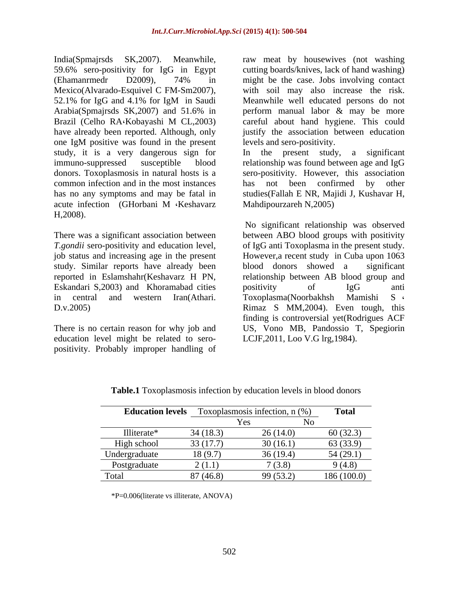India(Spmajrsds SK,2007). Meanwhile, raw meat by housewives (not washing 59.6% sero-positivity for IgG in Egypt (Ehamanrmedr D2009), 74% in Mexico(Alvarado-Esquivel C FM-Sm2007), with soil may also increase the risk.<br>52.1% for IgG and 4.1% for IgM in Saudi Meanwhile well educated persons do not Arabia(Spmajrsds SK,2007) and 51.6% in perform manual labor & may be more Brazil (Celho RA Kobayashi M CL, 2003) careful about hand hygiene. This could have already been reported. Although, only justify the association between education one IgM positive was found in the present study, it is a very dangerous sign for common infection and in the most instances has not been confirmed by other acute infection (GHorbani M Keshavarz Mahdipourzareh N,2005)

study. Similar reports have already been blood donors showed a significant Eskandari S,2003) and Khoramabad cities

education level might be related to sero positivity. Probably improper handling of

cutting boards/knives, lack of hand washing) might be the case. Jobs involving contact with soil may also increase the risk. Meanwhile well educated persons do not careful about hand hygiene. This could levels and sero-positivity.

immuno-suppressed susceptible blood relationship was found between age and IgG donors. Toxoplasmosis in natural hosts is a sero-positivity. However, this association has no any symptoms and may be fatal in studies(Fallah E NR, Majidi J, Kushavar H, In the present study, a significant has not been confirmed by other Mahdipourzareh N,2005)

H,2008).<br>
No significant relationship was observed<br>
There was a significant association between ABO blood groups with positivity *T.gondii* sero-positivity and education level, of IgG anti Toxoplasma in the present study. job status and increasing age in the present However,a recent study in Cuba upon 1063 reported in Eslamshahr(Keshavarz H PN, relationship between AB blood group and in central and western Iran(Athari. Toxoplasma(Noorbakhsh Mamishi S D.v.2005) Rimaz S MM,2004). Even tough, this There is no certain reason for why job and US, Vono MB, Pandossio T, Spegiorin No significant relationship was observed between ABO blood groups with positivity blood donors showed a positivity of IgG anti Toxoplasma(Noorbakhsh Mamishi S finding is controversial yet(Rodrigues ACF LCJF,2011, Loo V.G lrg,1984).

| <b>Education levels</b> |          | Toxoplasmosis infection, $n$ (%) | <b>Total</b> |
|-------------------------|----------|----------------------------------|--------------|
|                         |          | r es                             |              |
| Illiterate*             | 34(18.3) | 26(14.0)                         | 60(32.3)     |
| High school             | 33(17.7) | 30(16.1)                         | 63 (33.9)    |
| Undergraduate           | 18 (9.7) | 36(19.4)                         | 54(29.1)     |
| Postgraduate            | 2(1.1)   | (3.8)                            | 9(4.8)       |
| Total                   | 87(46.8) | 99(53.2)                         | 186(100.0)   |

**Table.1** Toxoplasmosis infection by education levels in blood donors

\*P=0.006(literate vs illiterate, ANOVA)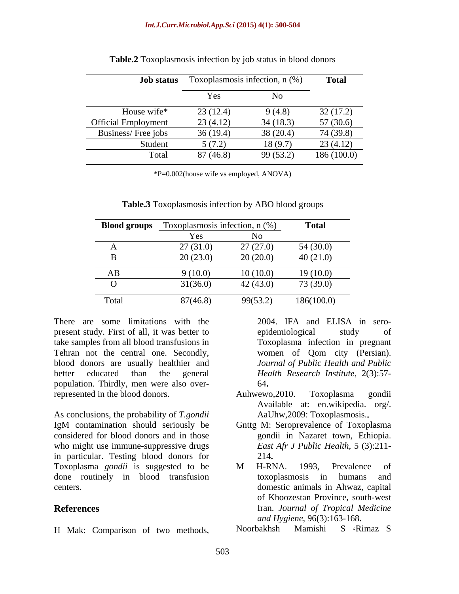| <b>Job status</b>          |          | Toxoplasmosis infection, $n$ (%) | <b>Total</b> |
|----------------------------|----------|----------------------------------|--------------|
|                            | Yes      | N <sub>0</sub>                   |              |
| House wife*                | 23(12.4) | 9(4.8)                           | 32(17.2)     |
| <b>Official Employment</b> | 23(4.12) | 34(18.3)                         | 57(30.6)     |
| Business/Free jobs         | 36(19.4) | 38(20.4)                         | 74 (39.8)    |
| Student                    | 5(7.2)   | 18(9.7)                          | 23(4.12)     |
| Total                      | 87(46.8) | 99 (53.2)                        | 186(100.0)   |

| Table.2 To | $\Box$ Toxoplasmosis infection by $\Box$ | । In blood donors<br>ob status. |  |  |  |
|------------|------------------------------------------|---------------------------------|--|--|--|
|            |                                          |                                 |  |  |  |

\*P=0.002(house wife vs employed, ANOVA)

| <b>Blood groups</b> | Toxoplasmosis infection, n (%) |          | <b>Total</b> |
|---------------------|--------------------------------|----------|--------------|
|                     |                                |          |              |
|                     | 27(31.0)                       | 27(27.0) | 54(30.0)     |
|                     | 20(23.0)                       | 20(20.0) | 40(21.0)     |
| AB                  | 9(10.0)                        | 10(10.0) | 19(10.0)     |
|                     | 31(36.0)                       | 42(43.0) | 73 (39.0)    |
| Total               | 87(46.8)                       | 99(53.2) | 186(100.0)   |

**Table.3** Toxoplasmosis infection by ABO blood groups

There are some limitations with the 2004. IFA and ELISA in seropresent study. First of all, it was better to epidemiological study of take samples from all blood transfusions in Tehran not the central one. Secondly, women of Qom city (Persian). blood donors are usually healthier and better educated than the general *Health Research Institute*, 2(3):57 population. Thirdly, men were also over-

As conclusions, the probability of *T.gondii* IgM contamination should seriously be Gnttg M: Seroprevalence of Toxoplasma considered for blood donors and in those who might use immune-suppressive drugs in particular. Testing blood donors for Toxoplasma *gondii* is suggested to be done routinely in blood transfusion There are some limitations with the 2004. IFA and ELISA in sero-<br>
present study. First of all, it was better to eighelemiological study of<br>
Tehran not the central one. Secondly, women of Qom city (Persian).<br>
Doctar and th

Toxoplasma infection in pregnant women of Qom city (Persian). *Journal of Public Health and Public* 64

- represented in the blood donors. Auhwewo, 2010. Toxoplasma gondii Auhwewo,2010. Toxoplasma gondii Available at: en.wikipedia. org/. AaUhw,2009: Toxoplasmosis.
	- Gnttg M: Seroprevalence of Toxoplasma gondii in Nazaret town, Ethiopia. *East Afr J Public Health*, 5 (3):211- 214
- centers. domestic animals in Ahwaz, capital **References** Iran. *Journal of Tropical Medicine* M H-RNA. 1993, Prevalence of toxoplasmosis in humans and of Khoozestan Province, south-west *and Hygiene*, 96(3):163-168

Noorbakhsh Mamishi S Rimaz S